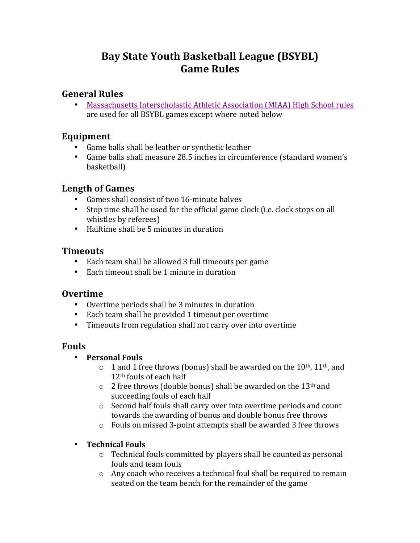# Bay State Youth Basketball League (BSYBL) **Game Rules**

## **General Rules**

• Massachusetts Interscholastic Athletic Association (MIAA) High School rules are used for all BSYBL games except where noted below

## **Equipment**

- Game balls shall be leather or synthetic leather
- Game balls shall measure 28.5 inches in circumference (standard women's basketball)

## **Length of Games**

- Games shall consist of two 16-minute halves
- Stop time shall be used for the official game clock (i.e. clock stops on all whistles by referees)
- Halftime shall be 5 minutes in duration

#### **Timeouts**

- Each team shall be allowed 3 full timeouts per game
- Each timeout shall be 1 minute in duration

## **Overtime**

- Overtime periods shall be 3 minutes in duration
- Each team shall be provided 1 timeout per overtime
- Timeouts from regulation shall not carry over into overtime

## **Fouls**

#### • **Personal Fouls**

- $\circ$  1 and 1 free throws (bonus) shall be awarded on the 10<sup>th</sup>, 11<sup>th</sup>, and  $12<sup>th</sup>$  fouls of each half
- $\circ$  2 free throws (double bonus) shall be awarded on the 13<sup>th</sup> and succeeding fouls of each half
- $\circ$  Second half fouls shall carry over into overtime periods and count towards the awarding of bonus and double bonus free throws
- $\circ$  Fouls on missed 3-point attempts shall be awarded 3 free throws

#### • **Technical Fouls**

- $\circ$  Technical fouls committed by players shall be counted as personal fouls and team fouls
- $\circ$  Any coach who receives a technical foul shall be required to remain seated on the team bench for the remainder of the game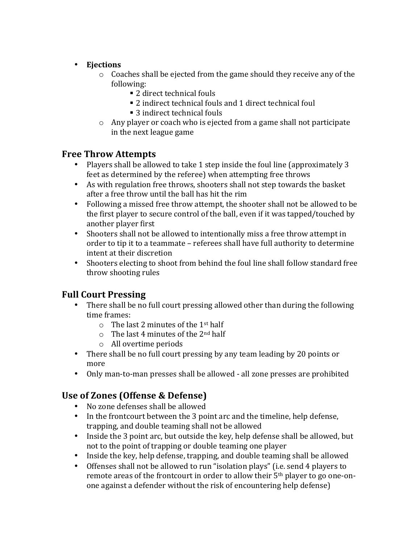- **Ejections**
	- $\circ$  Coaches shall be ejected from the game should they receive any of the following:
		- 2 direct technical fouls
		- $\blacksquare$  2 indirect technical fouls and 1 direct technical foul
		- 3 indirect technical fouls
	- $\circ$  Any player or coach who is ejected from a game shall not participate in the next league game

## **Free Throw Attempts**

- Players shall be allowed to take 1 step inside the foul line (approximately 3 feet as determined by the referee) when attempting free throws
- As with regulation free throws, shooters shall not step towards the basket after a free throw until the ball has hit the rim
- Following a missed free throw attempt, the shooter shall not be allowed to be the first player to secure control of the ball, even if it was tapped/touched by another player first
- Shooters shall not be allowed to intentionally miss a free throw attempt in order to tip it to a teammate – referees shall have full authority to determine intent at their discretion
- Shooters electing to shoot from behind the foul line shall follow standard free throw shooting rules

## **Full Court Pressing**

- There shall be no full court pressing allowed other than during the following time frames:
	- $\circ$  The last 2 minutes of the 1<sup>st</sup> half
	- $\circ$  The last 4 minutes of the 2<sup>nd</sup> half
	- o All overtime periods
- There shall be no full court pressing by any team leading by 20 points or more
- Only man-to-man presses shall be allowed all zone presses are prohibited

## **Use of Zones (Offense & Defense)**

- No zone defenses shall be allowed
- In the frontcourt between the 3 point arc and the timeline, help defense, trapping, and double teaming shall not be allowed
- Inside the 3 point arc, but outside the key, help defense shall be allowed, but not to the point of trapping or double teaming one player
- Inside the key, help defense, trapping, and double teaming shall be allowed
- Offenses shall not be allowed to run "isolation plays" (i.e. send 4 players to remote areas of the frontcourt in order to allow their  $5<sup>th</sup>$  player to go one-onone against a defender without the risk of encountering help defense)